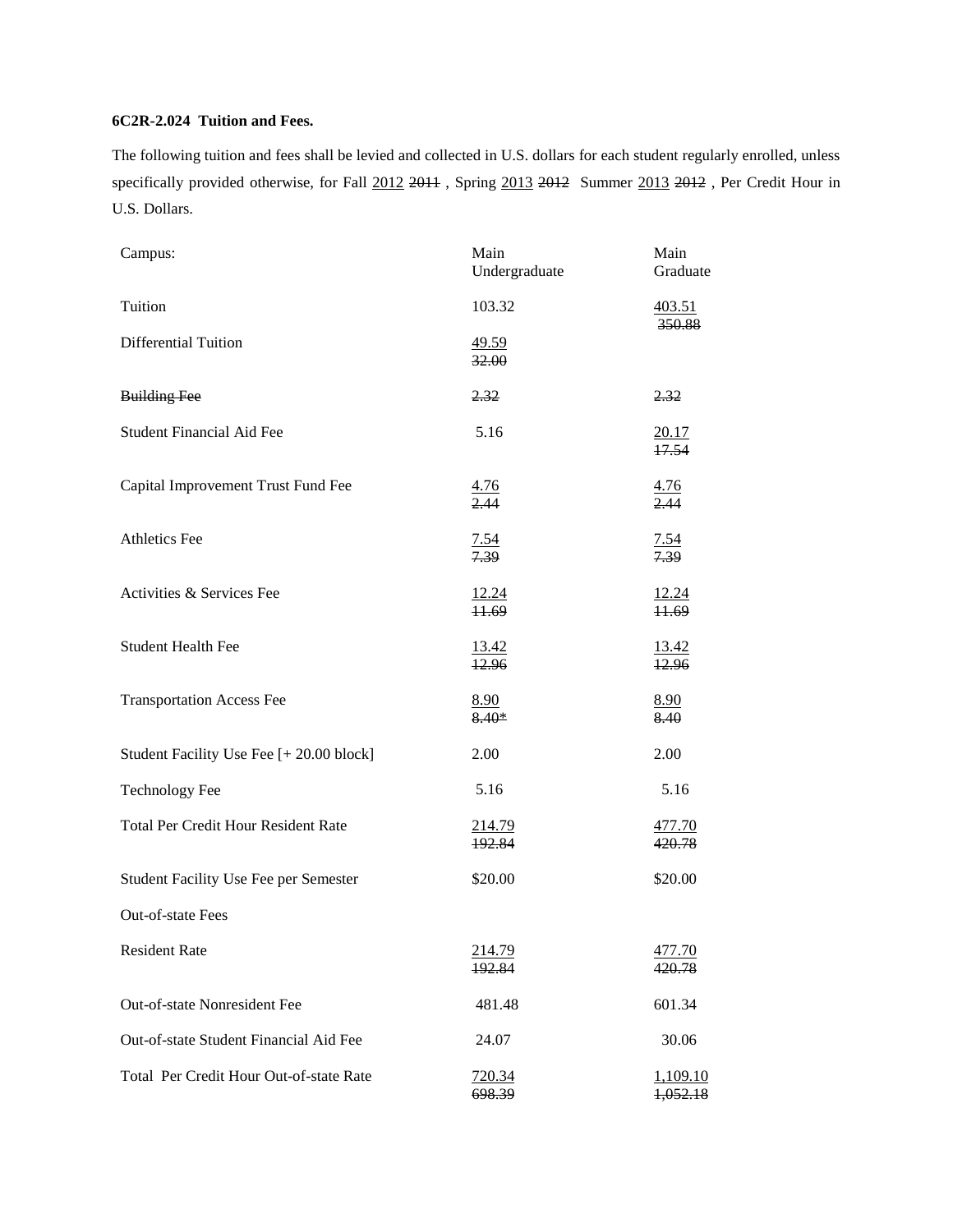## **6C2R-2.024 Tuition and Fees.**

The following tuition and fees shall be levied and collected in U.S. dollars for each student regularly enrolled, unless specifically provided otherwise, for Fall 2012 2011, Spring 2013 2012 Summer 2013 2012, Per Credit Hour in U.S. Dollars.

| Campus:                                    | Main<br>Undergraduate             | Main<br>Graduate            |
|--------------------------------------------|-----------------------------------|-----------------------------|
| Tuition                                    | 103.32                            | 403.51<br>350.88            |
| <b>Differential Tuition</b>                | 49.59<br>32.00                    |                             |
| <b>Building Fee</b>                        | 2.32                              | 2.32                        |
| Student Financial Aid Fee                  | 5.16                              | $\frac{20.17}{17.54}$       |
| Capital Improvement Trust Fund Fee         | $\frac{4.76}{2.44}$               | $\frac{4.76}{2.44}$         |
| <b>Athletics Fee</b>                       | $\frac{7.54}{7.39}$               | $\frac{7.54}{7.39}$         |
| Activities & Services Fee                  | $\frac{12.24}{11.69}$             | $\frac{12.24}{11.69}$       |
| <b>Student Health Fee</b>                  | <u>13.42</u><br>$\frac{12.96}{x}$ | $\frac{13.42}{12.96}$       |
| <b>Transportation Access Fee</b>           | 8.90<br>8.40*                     | <u>8.90</u><br>8.40         |
| Student Facility Use Fee [+ 20.00 block]   | 2.00                              | 2.00                        |
| <b>Technology Fee</b>                      | 5.16                              | 5.16                        |
| <b>Total Per Credit Hour Resident Rate</b> | <u>214.79</u><br>192.84           | <u>477.70</u><br>420.78     |
| Student Facility Use Fee per Semester      | \$20.00                           | \$20.00                     |
| Out-of-state Fees                          |                                   |                             |
| <b>Resident Rate</b>                       | <u> 214.79</u><br>192.84          | 477.70<br>420.78            |
| Out-of-state Nonresident Fee               | 481.48                            | 601.34                      |
| Out-of-state Student Financial Aid Fee     | 24.07                             | 30.06                       |
| Total Per Credit Hour Out-of-state Rate    | 720.34<br>698.39                  | <u>1,109.10</u><br>1,052.18 |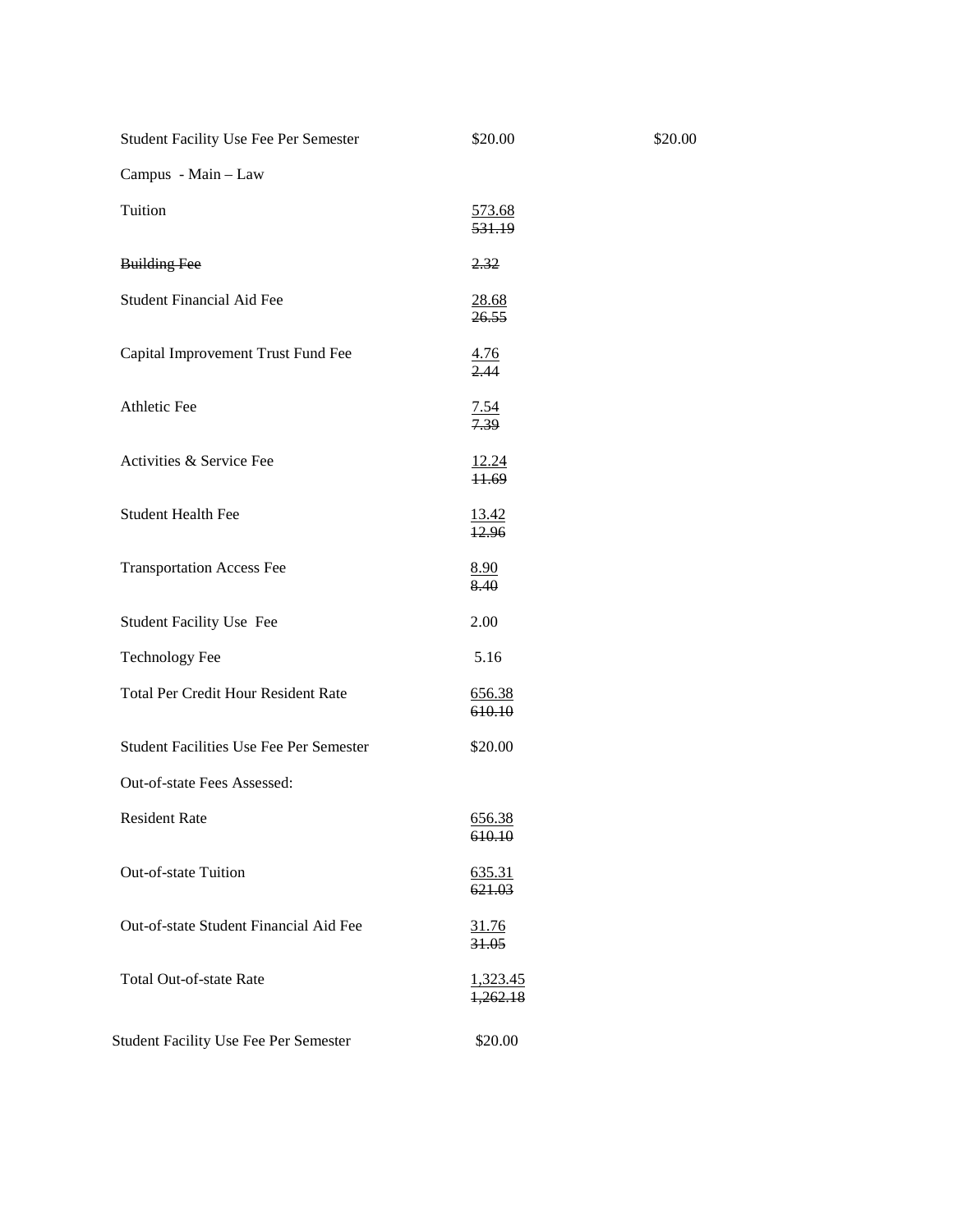| Student Facility Use Fee Per Semester          | \$20.00                     |
|------------------------------------------------|-----------------------------|
| Campus - Main - Law                            |                             |
| Tuition                                        | 573.68<br>531.19            |
| <b>Building Fee</b>                            | 2.32                        |
| <b>Student Financial Aid Fee</b>               | <u>28.68</u><br>26.55       |
| Capital Improvement Trust Fund Fee             | <u>4.76</u><br>2.44         |
| <b>Athletic Fee</b>                            | <u>7.54</u><br>7.39         |
| Activities & Service Fee                       | 12.24<br>11.69              |
| <b>Student Health Fee</b>                      | 13.42<br>12.96              |
| <b>Transportation Access Fee</b>               | 8.90<br>8.40                |
| <b>Student Facility Use Fee</b>                | 2.00                        |
| <b>Technology Fee</b>                          | 5.16                        |
| <b>Total Per Credit Hour Resident Rate</b>     | <u>656.38</u><br>610.10     |
| <b>Student Facilities Use Fee Per Semester</b> | \$20.00                     |
| Out-of-state Fees Assessed:                    |                             |
| <b>Resident Rate</b>                           | 656.38<br><del>610.10</del> |
| Out-of-state Tuition                           | <u>635.31</u><br>621.03     |
| Out-of-state Student Financial Aid Fee         | 31.76<br>31.05              |
| <b>Total Out-of-state Rate</b>                 | 1,323.45<br>1,262.18        |
| Student Facility Use Fee Per Semester          | \$20.00                     |

\$20.00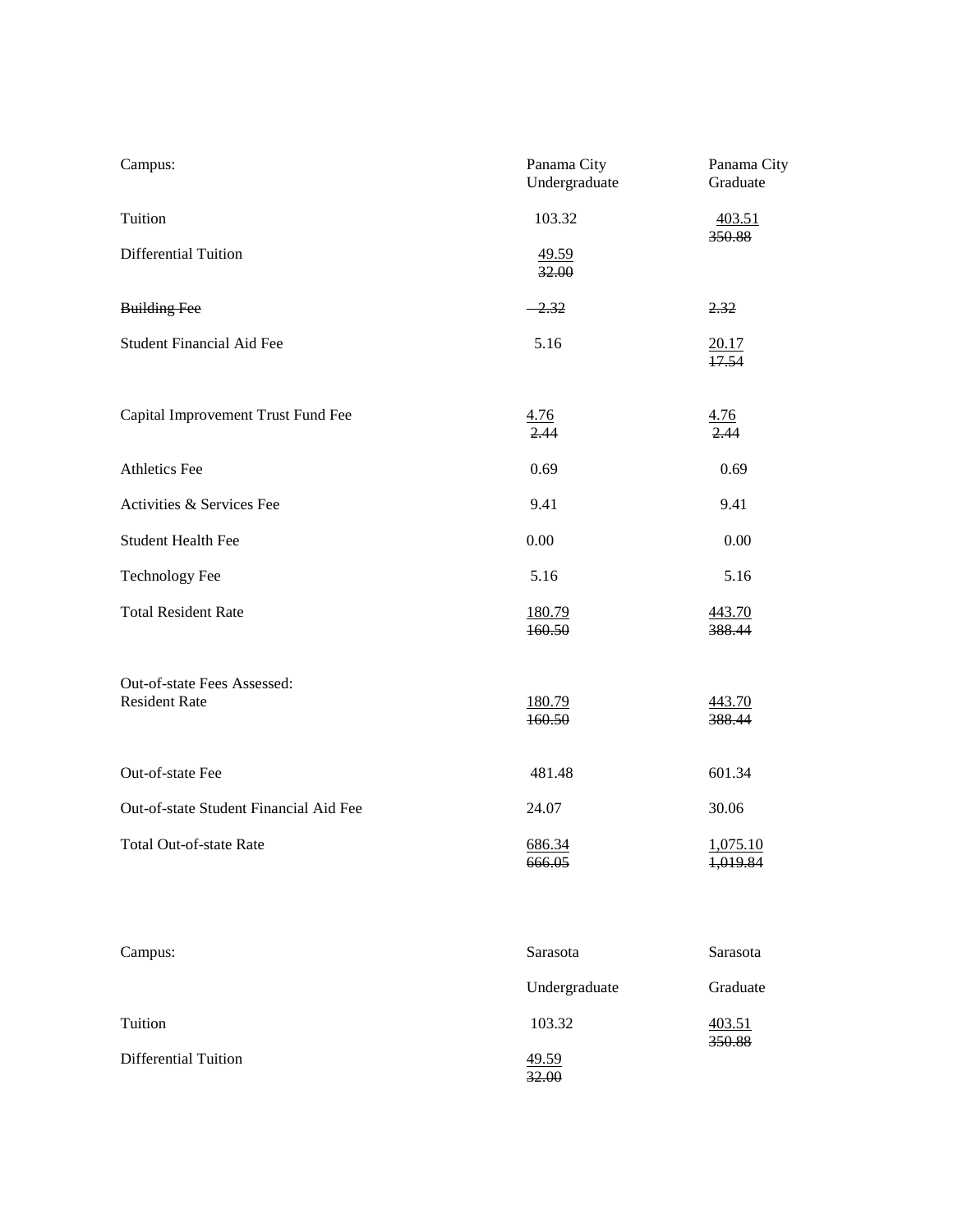| Campus:                                             | Panama City<br>Undergraduate | Panama City<br>Graduate |  |
|-----------------------------------------------------|------------------------------|-------------------------|--|
| Tuition                                             | 103.32                       | 403.51<br>350.88        |  |
| <b>Differential Tuition</b>                         | 49.59<br>32.00               |                         |  |
| <b>Building Fee</b>                                 | $-2.32$                      | 2.32                    |  |
| <b>Student Financial Aid Fee</b>                    | 5.16                         | 20.17<br>17.54          |  |
| Capital Improvement Trust Fund Fee                  | $\frac{4.76}{2.44}$          | 4.76<br>2.44            |  |
| <b>Athletics Fee</b>                                | 0.69                         | 0.69                    |  |
| Activities & Services Fee                           | 9.41                         | 9.41                    |  |
| <b>Student Health Fee</b>                           | 0.00                         | 0.00                    |  |
| <b>Technology Fee</b>                               | 5.16                         | 5.16                    |  |
| <b>Total Resident Rate</b>                          | 180.79<br>160.50             | 443.70<br>388.44        |  |
| Out-of-state Fees Assessed:<br><b>Resident Rate</b> | 180.79<br>160.50             | 443.70<br>388.44        |  |
| Out-of-state Fee                                    | 481.48                       | 601.34                  |  |
| Out-of-state Student Financial Aid Fee              | 24.07                        | 30.06                   |  |
| Total Out-of-state Rate                             | 686.34<br>666.05             | 1,075.10<br>1,019.84    |  |
|                                                     |                              |                         |  |

| Campus:              | Sarasota       | Sarasota         |
|----------------------|----------------|------------------|
|                      | Undergraduate  | Graduate         |
| Tuition              | 103.32         | 403.51<br>350.88 |
| Differential Tuition | 49.59<br>32.00 |                  |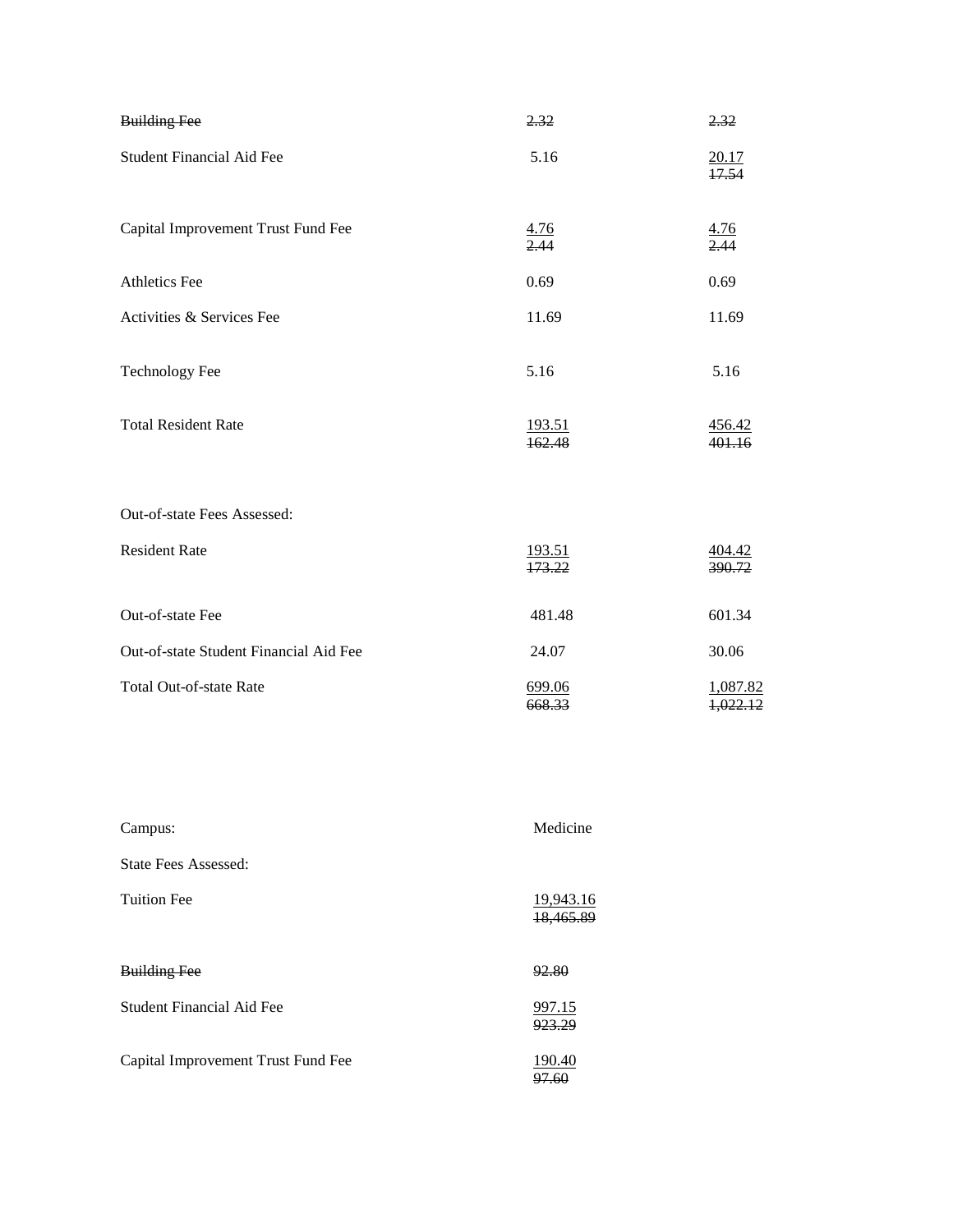| <b>Building Fee</b>                    | 2.32                    | 2.32                    |
|----------------------------------------|-------------------------|-------------------------|
| <b>Student Financial Aid Fee</b>       | 5.16                    | 20.17<br>17.54          |
| Capital Improvement Trust Fund Fee     | $\frac{4.76}{2.44}$     | $\frac{4.76}{2.44}$     |
| <b>Athletics Fee</b>                   | 0.69                    | 0.69                    |
| Activities & Services Fee              | 11.69                   | 11.69                   |
| Technology Fee                         | 5.16                    | 5.16                    |
| <b>Total Resident Rate</b>             | 193.51<br>162.48        | 456.42<br>401.16        |
| Out-of-state Fees Assessed:            |                         |                         |
| <b>Resident Rate</b>                   | <u>193.51</u><br>173.22 | $\frac{404.42}{390.72}$ |
| Out-of-state Fee                       | 481.48                  | 601.34                  |
| Out-of-state Student Financial Aid Fee | 24.07                   | 30.06                   |
| <b>Total Out-of-state Rate</b>         | 699.06<br>668.33        | 1,087.82<br>1,022.12    |

| Campus:                            | Medicine               |
|------------------------------------|------------------------|
| State Fees Assessed:               |                        |
| <b>Tuition Fee</b>                 | 19,943.16<br>18,465.89 |
| <b>Building Fee</b>                | 92.80                  |
| Student Financial Aid Fee          | 997.15<br>923.29       |
| Capital Improvement Trust Fund Fee | 190.40                 |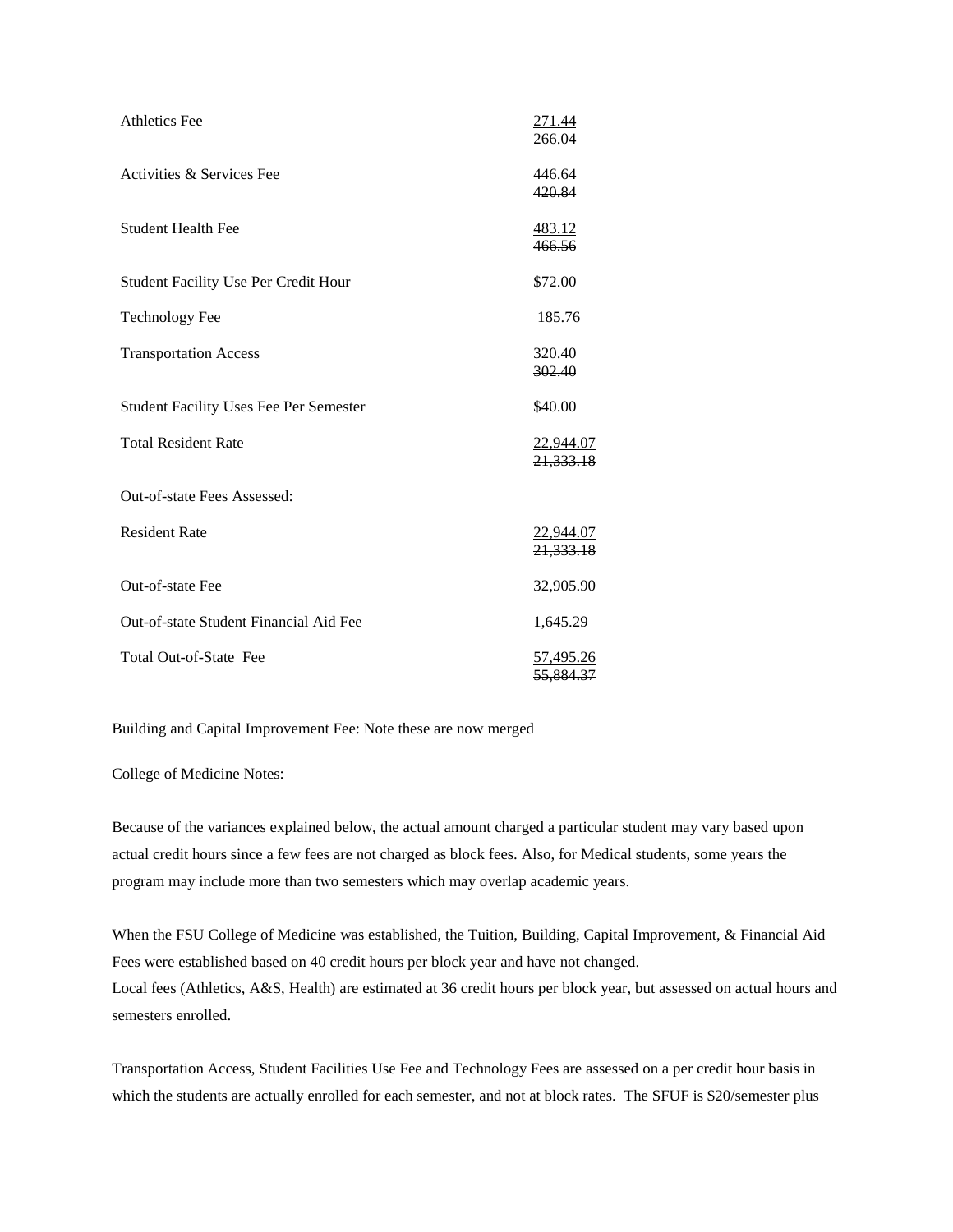| <b>Athletics Fee</b>                          | <u>271.44</u><br>266.04       |
|-----------------------------------------------|-------------------------------|
| Activities & Services Fee                     | <u>446.64</u><br>420.84       |
| <b>Student Health Fee</b>                     | <u>483.12</u><br>466.56       |
| <b>Student Facility Use Per Credit Hour</b>   | \$72.00                       |
| <b>Technology Fee</b>                         | 185.76                        |
| <b>Transportation Access</b>                  | 320.40<br>302.40              |
| <b>Student Facility Uses Fee Per Semester</b> | \$40.00                       |
| <b>Total Resident Rate</b>                    | <u>22,944.07</u><br>21,333.18 |
| Out-of-state Fees Assessed:                   |                               |
| <b>Resident Rate</b>                          | <u>22,944.07</u><br>21,333.18 |
| Out-of-state Fee                              | 32,905.90                     |
| Out-of-state Student Financial Aid Fee        | 1,645.29                      |
| Total Out-of-State Fee                        | 57,495.26<br>55.884.37        |

Building and Capital Improvement Fee: Note these are now merged

College of Medicine Notes:

Because of the variances explained below, the actual amount charged a particular student may vary based upon actual credit hours since a few fees are not charged as block fees. Also, for Medical students, some years the program may include more than two semesters which may overlap academic years.

When the FSU College of Medicine was established, the Tuition, Building, Capital Improvement, & Financial Aid Fees were established based on 40 credit hours per block year and have not changed. Local fees (Athletics, A&S, Health) are estimated at 36 credit hours per block year, but assessed on actual hours and semesters enrolled.

Transportation Access, Student Facilities Use Fee and Technology Fees are assessed on a per credit hour basis in which the students are actually enrolled for each semester, and not at block rates. The SFUF is \$20/semester plus